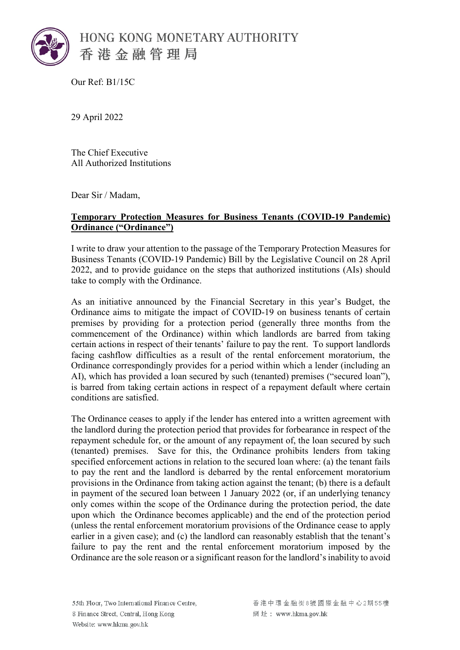

Our Ref: B1/15C

29 April 2022

The Chief Executive All Authorized Institutions

Dear Sir / Madam,

## **Temporary Protection Measures for Business Tenants (COVID-19 Pandemic) Ordinance ("Ordinance")**

I write to draw your attention to the passage of the Temporary Protection Measures for Business Tenants (COVID-19 Pandemic) Bill by the Legislative Council on 28 April 2022, and to provide guidance on the steps that authorized institutions (AIs) should take to comply with the Ordinance.

As an initiative announced by the Financial Secretary in this year's Budget, the Ordinance aims to mitigate the impact of COVID-19 on business tenants of certain premises by providing for a protection period (generally three months from the commencement of the Ordinance) within which landlords are barred from taking certain actions in respect of their tenants' failure to pay the rent. To support landlords facing cashflow difficulties as a result of the rental enforcement moratorium, the Ordinance correspondingly provides for a period within which a lender (including an AI), which has provided a loan secured by such (tenanted) premises ("secured loan"), is barred from taking certain actions in respect of a repayment default where certain conditions are satisfied.

The Ordinance ceases to apply if the lender has entered into a written agreement with the landlord during the protection period that provides for forbearance in respect of the repayment schedule for, or the amount of any repayment of, the loan secured by such (tenanted) premises. Save for this, the Ordinance prohibits lenders from taking specified enforcement actions in relation to the secured loan where: (a) the tenant fails to pay the rent and the landlord is debarred by the rental enforcement moratorium provisions in the Ordinance from taking action against the tenant; (b) there is a default in payment of the secured loan between 1 January 2022 (or, if an underlying tenancy only comes within the scope of the Ordinance during the protection period, the date upon which the Ordinance becomes applicable) and the end of the protection period (unless the rental enforcement moratorium provisions of the Ordinance cease to apply earlier in a given case); and (c) the landlord can reasonably establish that the tenant's failure to pay the rent and the rental enforcement moratorium imposed by the Ordinance are the sole reason or a significant reason for the landlord's inability to avoid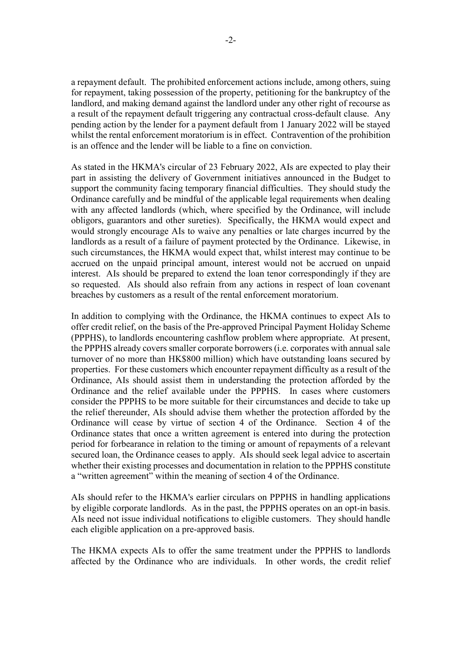a repayment default. The prohibited enforcement actions include, among others, suing for repayment, taking possession of the property, petitioning for the bankruptcy of the landlord, and making demand against the landlord under any other right of recourse as a result of the repayment default triggering any contractual cross-default clause. Any pending action by the lender for a payment default from 1 January 2022 will be stayed whilst the rental enforcement moratorium is in effect. Contravention of the prohibition is an offence and the lender will be liable to a fine on conviction.

As stated in the HKMA's circular of 23 February 2022, AIs are expected to play their part in assisting the delivery of Government initiatives announced in the Budget to support the community facing temporary financial difficulties. They should study the Ordinance carefully and be mindful of the applicable legal requirements when dealing with any affected landlords (which, where specified by the Ordinance, will include obligors, guarantors and other sureties). Specifically, the HKMA would expect and would strongly encourage AIs to waive any penalties or late charges incurred by the landlords as a result of a failure of payment protected by the Ordinance. Likewise, in such circumstances, the HKMA would expect that, whilst interest may continue to be accrued on the unpaid principal amount, interest would not be accrued on unpaid interest. AIs should be prepared to extend the loan tenor correspondingly if they are so requested. AIs should also refrain from any actions in respect of loan covenant breaches by customers as a result of the rental enforcement moratorium.

In addition to complying with the Ordinance, the HKMA continues to expect AIs to offer credit relief, on the basis of the Pre-approved Principal Payment Holiday Scheme (PPPHS), to landlords encountering cashflow problem where appropriate. At present, the PPPHS already covers smaller corporate borrowers (i.e. corporates with annual sale turnover of no more than HK\$800 million) which have outstanding loans secured by properties. For these customers which encounter repayment difficulty as a result of the Ordinance, AIs should assist them in understanding the protection afforded by the Ordinance and the relief available under the PPPHS. In cases where customers consider the PPPHS to be more suitable for their circumstances and decide to take up the relief thereunder, AIs should advise them whether the protection afforded by the Ordinance will cease by virtue of section 4 of the Ordinance. Section 4 of the Ordinance states that once a written agreement is entered into during the protection period for forbearance in relation to the timing or amount of repayments of a relevant secured loan, the Ordinance ceases to apply. AIs should seek legal advice to ascertain whether their existing processes and documentation in relation to the PPPHS constitute a "written agreement" within the meaning of section 4 of the Ordinance.

AIs should refer to the HKMA's earlier circulars on PPPHS in handling applications by eligible corporate landlords. As in the past, the PPPHS operates on an opt-in basis. AIs need not issue individual notifications to eligible customers. They should handle each eligible application on a pre-approved basis.

The HKMA expects AIs to offer the same treatment under the PPPHS to landlords affected by the Ordinance who are individuals. In other words, the credit relief